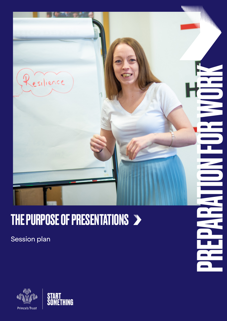

### THE PURPOSE OF PRESENTATIONS >

Session plan



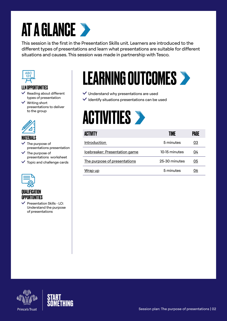## **AT A GLANCE >**

This session is the first in the Presentation Skills unit. Learners are introduced to the different types of presentations and learn what presentations are suitable for different situations and causes. This session was made in partnership with Tesco.



#### LLN OPPORTUNITIES

- Reading about different types of presentation
- $\vee$  Writing short presentations to deliver to the group



#### MATERIALS

- $\checkmark$  The purpose of presentations presentation
- $\checkmark$  The purpose of presentations worksheet
- $\checkmark$  Topic and challenge cards



#### QUALIFICATION OPPORTUNITIES

 $\vee$  Presentation Skills - LO: Understand the purpose of presentations

### LEARNING OUTCOMES

 $\checkmark$  Understand why presentations are used

 $\checkmark$  Identify situations presentations can be used

# **ACTIVITIES >**

| <b>ACTIVITY</b>               | <b>ANF</b>    | PAGE |
|-------------------------------|---------------|------|
| Introduction                  | 5 minutes     | 03   |
| Icebreaker: Presentation game | 10-15 minutes | 04   |
| The purpose of presentations  | 25-30 minutes | 05   |
| Wrap up                       | 5 minutes     | 06   |



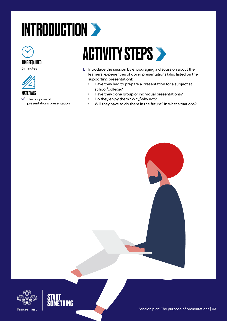# <span id="page-2-0"></span>INTRODUCTION >



#### TIME REQUIRED

5 minutes



#### **MATFRIALS**

 $\checkmark$  The purpose of presentations presentation

### **ACTIVITY STEPS >**

- 1. Introduce the session by encouraging a discussion about the learners' experiences of doing presentations (also listed on the supporting presentation):
	- Have they had to prepare a presentation for a subject at school/college?
	- Have they done group or individual presentations?
	- Do they enjoy them? Why/why not?
	- Will they have to do them in the future? In what situations?





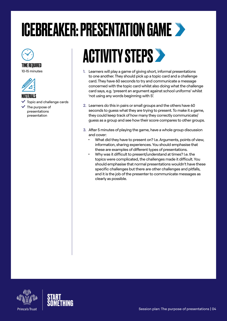### <span id="page-3-0"></span>ICEBREAKER: PRESENTATION GAME



### TIME REQUIRED

10-15 minutes



#### MATFRIAI S

- $\checkmark$  Topic and challenge cards
- $\checkmark$  The purpose of presentations presentation

### **ACTIVITY STEPS >**

- 1. Learners will play a game of giving short, informal presentations to one another. They should pick up a topic card and a challenge card. They have 60 seconds to try and communicate a message concerned with the topic card whilst also doing what the challenge card says, e.g. 'present an argument against school uniforms' whilst 'not using any words beginning with S'.
- 2. Learners do this in pairs or small groups and the others have 60 seconds to guess what they are trying to present. To make it a game, they could keep track of how many they correctly communicate/ guess as a group and see how their score compares to other groups.
- 3. After 5 minutes of playing the game, have a whole group discussion and cover:
	- What did they have to present on? I.e. Arguments, points of view, information, sharing experiences. You should emphasise that these are examples of different types of presentations.
	- Why was it difficult to present/understand at times? I.e. the topics were complicated, the challenges made it difficult. You should emphasise that normal presentations wouldn't have these specific challenges but there are other challenges and pitfalls, and it is the job of the presenter to communicate messages as clearly as possible.



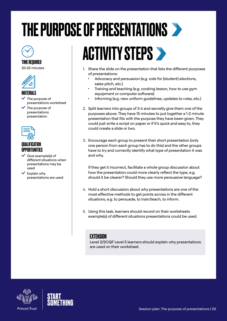### <span id="page-4-0"></span>THE PURPOSE OF PRESENTATIONS

#### TIME REQUIRED

20-25 minutes



#### **MATFRIALS**

- The purpose of presentations worksheet
- $\checkmark$  The purpose of presentations presentation



#### QUALIFICATION **OPPORTUNITIES**

- $\checkmark$  Give example(s) of different situations when presentations may be used
- $\checkmark$  Explain why presentations are used

### **ACTIVITY STEPS >**

- 1. Share the slide on the presentation that lists the different purposes of presentations:
	- Advocacy and persuasion (e.g. vote for (student) elections, sales pitch, etc.)
	- Training and teaching (e.g. cooking lesson, how to use gym equipment or computer software)
	- Informing (e.g. new uniform guidelines, updates to rules, etc.)
- 2. Split learners into groups of 3-4 and secretly give them one of the purposes above. They have 15 minutes to put together a 1-2 minute presentation that fits with the purpose they have been given. They could just write a script on paper or if it's quick and easy to, they could create a slide or two.
- 3. Encourage each group to present their short presentation (only one person from each group has to do this) and the other groups have to try and correctly identify what type of presentation it was and why.

If they get it incorrect, facilitate a whole group discussion about how the presentation could more clearly reflect the type, e.g. should it be clearer? Should they use more persuasive language?

- 4. Hold a short discussion about why presentations are one of the most effective methods to get points across in the different situations, e.g. to persuade, to train/teach, to inform.
- 5. Using this task, learners should record on their worksheets example(s) of different situations presentations could be used.

#### **FXTFNSION**

Level 2/SCQF Level 5 learners should explain why presentations are used on their worksheet.